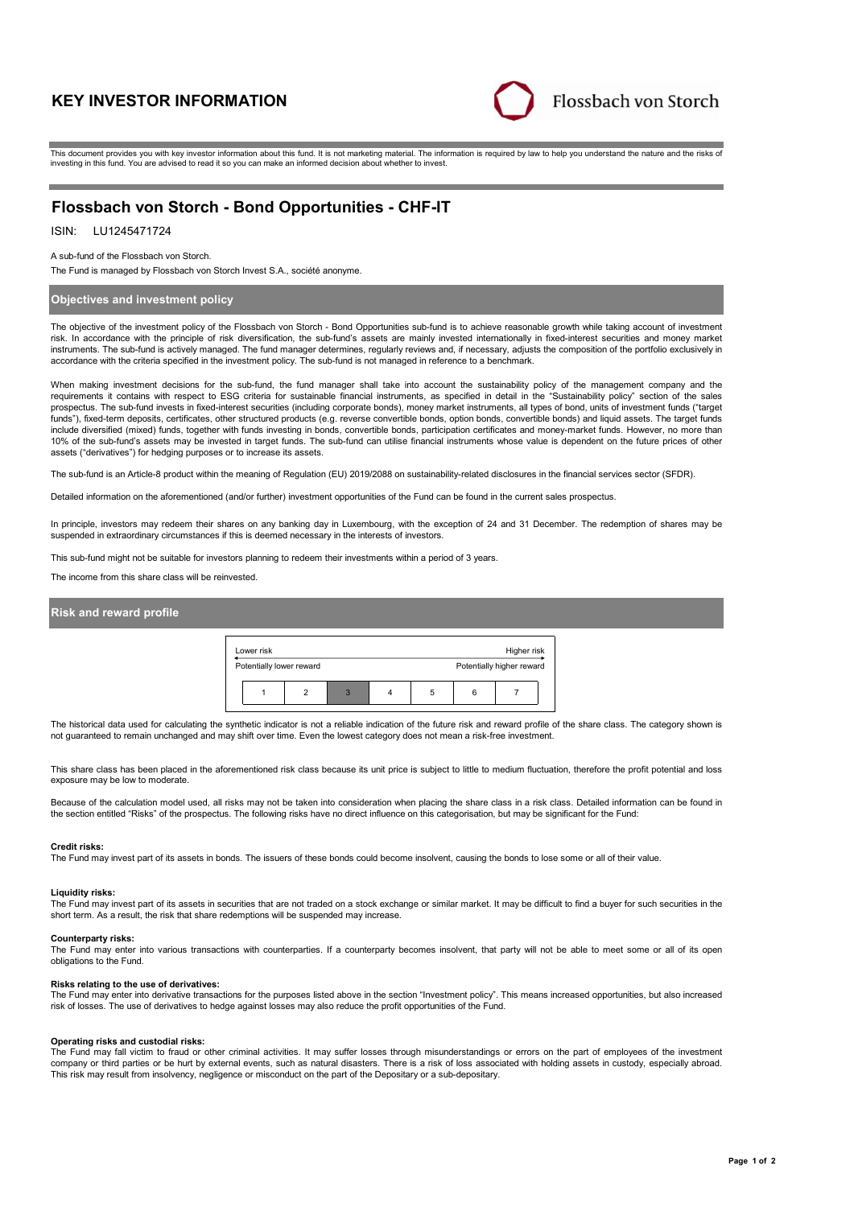# **KEY INVESTOR INFORMATION**



This document provides you with key investor information about this fund. It is not marketing material. The information is required by law to help you understand the nature and the risks of investing in this fund. You are advised to read it so you can make an informed decision about whether to invest.

# **Flossbach von Storch - Bond Opportunities - CHF-IT**

### ISIN: LU1245471724

A sub-fund of the Flossbach von Storch.

The Fund is managed by Flossbach von Storch Invest S.A., société anonyme.

### **Objectives and investment policy**

The objective of the investment policy of the Flossbach von Storch - Bond Opportunities sub-fund is to achieve reasonable growth while taking account of investment risk. In accordance with the principle of risk diversification, the sub-fund's assets are mainly invested internationally in fixed-interest securities and money market instruments. The sub-fund is actively managed. The fund manager determines, regularly reviews and, if necessary, adjusts the composition of the portfolio exclusively in accordance with the criteria specified in the investment policy. The sub-fund is not managed in reference to a benchmark.

When making investment decisions for the sub-fund, the fund manager shall take into account the sustainability policy of the management company and the requirements it contains with respect to ESG criteria for sustainable financial instruments, as specified in detail in the "Sustainability policy" section of the sales<br>prospectus. The sub-fund invests in fixed-interest sec funds"), fixed-term deposits, certificates, other structured products (e.g. reverse convertible bonds, option bonds, convertible bonds) and liquid assets. The target funds include diversified (mixed) funds, together with funds investing in bonds, convertible bonds, participation certificates and money-market funds. However, no more than 10% of the sub-fund's assets may be invested in target funds. The sub-fund can utilise financial instruments whose value is dependent on the future prices of other assets ("derivatives") for hedging purposes or to increase its assets.

The sub-fund is an Article-8 product within the meaning of Regulation (EU) 2019/2088 on sustainability-related disclosures in the financial services sector (SFDR).

Detailed information on the aforementioned (and/or further) investment opportunities of the Fund can be found in the current sales prospectus.

In principle, investors may redeem their shares on any banking day in Luxembourg, with the exception of 24 and 31 December. The redemption of shares may be suspended in extraordinary circumstances if this is deemed necessary in the interests of investors.

This sub-fund might not be suitable for investors planning to redeem their investments within a period of 3 years.

The income from this share class will be reinvested.

### **Risk and reward profile**

| Lower risk |                          |   |   |  |   | Higher risk |                           |  |
|------------|--------------------------|---|---|--|---|-------------|---------------------------|--|
|            | Potentially lower reward |   |   |  |   |             | Potentially higher reward |  |
|            |                          | າ | 3 |  | 5 | հ           |                           |  |

The historical data used for calculating the synthetic indicator is not a reliable indication of the future risk and reward profile of the share class. The category shown is not guaranteed to remain unchanged and may shift over time. Even the lowest category does not mean a risk-free investment.

This share class has been placed in the aforementioned risk class because its unit price is subject to little to medium fluctuation, therefore the profit potential and loss exposure may be low to moderate.

Because of the calculation model used, all risks may not be taken into consideration when placing the share class in a risk class. Detailed information can be found in the section entitled "Risks" of the prospectus. The following risks have no direct influence on this categorisation, but may be significant for the Fund:

#### **Credit risks:**

The Fund may invest part of its assets in bonds. The issuers of these bonds could become insolvent, causing the bonds to lose some or all of their value.

#### **Liquidity risks:**

The Fund may invest part of its assets in securities that are not traded on a stock exchange or similar market. It may be difficult to find a buyer for such securities in the short term. As a result, the risk that share redemptions will be suspended may increase.

#### **Counterparty risks:**

The Fund may enter into various transactions with counterparties. If a counterparty becomes insolvent, that party will not be able to meet some or all of its open obligations to the Fund.

### **Risks relating to the use of derivatives:**

The Fund may enter into derivative transactions for the purposes listed above in the section "Investment policy". This means increased opportunities, but also increased risk of losses. The use of derivatives to hedge against losses may also reduce the profit opportunities of the Fund.

### **Operating risks and custodial risks:**

The Fund may fall victim to fraud or other criminal activities. It may suffer losses through misunderstandings or errors on the part of employees of the investment company or third parties or be hurt by external events, such as natural disasters. There is a risk of loss associated with holding assets in custody, especially abroad. This risk may result from insolvency, negligence or misconduct on the part of the Depositary or a sub-depositary.